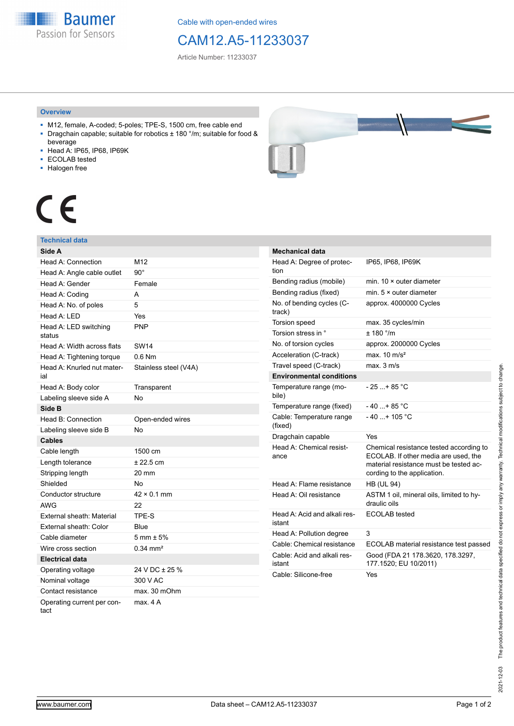**Baumer** Passion for Sensors

Cable with open-ended wires

# CAM12.A5-11233037

Article Number: 11233037

### **Overview**

- M12, female, A-coded; 5-poles; TPE-S, 1500 cm, free cable end ■ Dragchain capable; suitable for robotics ± 180 °/m; suitable for food &
- beverage
- Head A: IP65, IP68, IP69K
- ECOLAB tested
- Halogen free



# $\epsilon$

## **Technical data**

| Side A                             |                        |
|------------------------------------|------------------------|
| Head A: Connection                 | M12                    |
| Head A: Angle cable outlet         | $90^{\circ}$           |
| Head A: Gender                     | Female                 |
| Head A: Coding                     | A                      |
| Head A: No. of poles               | 5                      |
| Head A: LED                        | Yes                    |
| Head A: LED switching<br>status    | <b>PNP</b>             |
| Head A: Width across flats         | SW14                   |
| Head A: Tightening torque          | $0.6$ Nm               |
| Head A: Knurled nut mater-<br>ial  | Stainless steel (V4A)  |
| Head A: Body color                 | Transparent            |
| Labeling sleeve side A             | <b>No</b>              |
| Side B                             |                        |
| Head B: Connection                 | Open-ended wires       |
| Labeling sleeve side B             | No                     |
| <b>Cables</b>                      |                        |
| Cable length                       | 1500 cm                |
| Length tolerance                   | $± 22.5$ cm            |
| Stripping length                   | 20 mm                  |
| Shielded                           | <b>No</b>              |
| Conductor structure                | $42 \times 0.1$ mm     |
| <b>AWG</b>                         | 22                     |
| External sheath: Material          | TPE-S                  |
| External sheath: Color             | Blue                   |
| Cable diameter                     | $5 \text{ mm} \pm 5\%$ |
| Wire cross section                 | $0.34 \text{ mm}^2$    |
| Electrical data                    |                        |
| Operating voltage                  | 24 V DC ± 25 %         |
| Nominal voltage                    | 300 V AC               |
| Contact resistance                 | max. 30 mOhm           |
| Operating current per con-<br>tact | max. 4 A               |

| <b>Mechanical data</b>                 |                                                                                                                                                          |
|----------------------------------------|----------------------------------------------------------------------------------------------------------------------------------------------------------|
| Head A: Degree of protec-<br>tion      | IP65, IP68, IP69K                                                                                                                                        |
| Bending radius (mobile)                | min. $10 \times$ outer diameter                                                                                                                          |
| Bending radius (fixed)                 | min. $5 \times$ outer diameter                                                                                                                           |
| No. of bending cycles (C-<br>track)    | approx. 4000000 Cycles                                                                                                                                   |
| Torsion speed                          | max. 35 cycles/min                                                                                                                                       |
| Torsion stress in °                    | ± 180 °/m                                                                                                                                                |
| No. of torsion cycles                  | approx. 2000000 Cycles                                                                                                                                   |
| Acceleration (C-track)                 | max. $10 \text{ m/s}^2$                                                                                                                                  |
| Travel speed (C-track)                 | max. 3 m/s                                                                                                                                               |
| <b>Environmental conditions</b>        |                                                                                                                                                          |
| Temperature range (mo-<br>bile)        | $-25+85 °C$                                                                                                                                              |
| Temperature range (fixed)              | $-40$ $+85$ °C                                                                                                                                           |
| Cable: Temperature range<br>(fixed)    | $-40+105 °C$                                                                                                                                             |
| Dragchain capable                      | Yes                                                                                                                                                      |
| Head A: Chemical resist-<br>ance       | Chemical resistance tested according to<br>ECOLAB. If other media are used, the<br>material resistance must be tested ac-<br>cording to the application. |
| Head A: Flame resistance               | <b>HB (UL 94)</b>                                                                                                                                        |
| Head A: Oil resistance                 | ASTM 1 oil, mineral oils, limited to hy-<br>draulic oils                                                                                                 |
| Head A: Acid and alkali res-<br>istant | <b>ECOLAB</b> tested                                                                                                                                     |
| Head A: Pollution degree               | 3                                                                                                                                                        |
| Cable: Chemical resistance             | ECOLAB material resistance test passed                                                                                                                   |
| Cable: Acid and alkali res-<br>istant  | Good (FDA 21 178.3620, 178.3297,<br>177.1520; EU 10/2011)                                                                                                |
| Cable: Silicone-free                   | Yes                                                                                                                                                      |